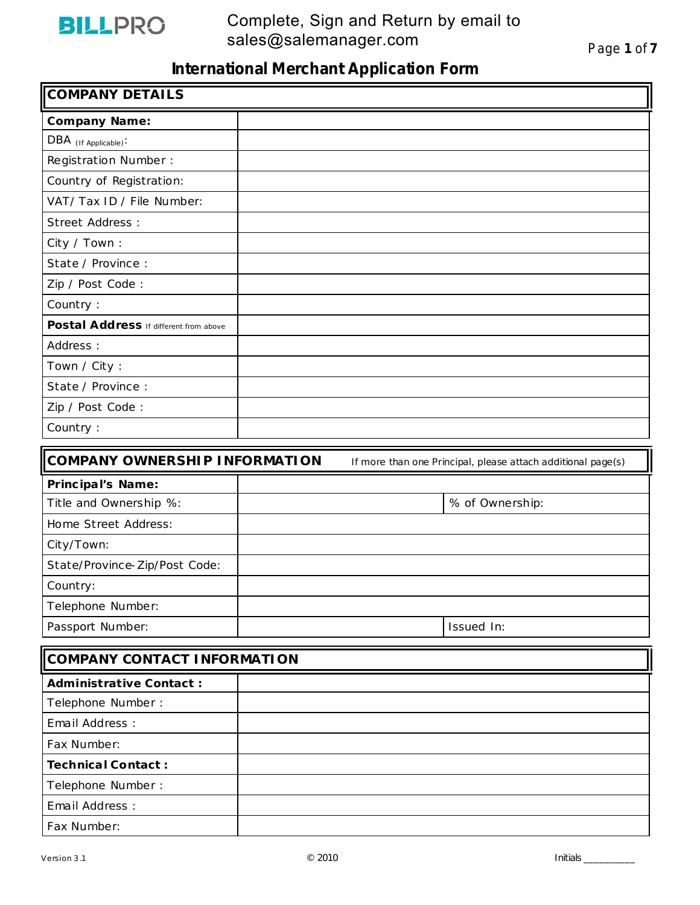

| <b>COMPANY DETAILS</b>                 |                                                              |  |
|----------------------------------------|--------------------------------------------------------------|--|
| <b>Company Name:</b>                   |                                                              |  |
| DBA (If Applicable):                   |                                                              |  |
| Registration Number:                   |                                                              |  |
| Country of Registration:               |                                                              |  |
| VAT/ Tax ID / File Number:             |                                                              |  |
| Street Address:                        |                                                              |  |
| City / Town:                           |                                                              |  |
| State / Province :                     |                                                              |  |
| Zip / Post Code:                       |                                                              |  |
| Country:                               |                                                              |  |
| Postal Address If different from above |                                                              |  |
| Address :                              |                                                              |  |
| Town / City:                           |                                                              |  |
| State / Province :                     |                                                              |  |
| Zip / Post Code:                       |                                                              |  |
| Country:                               |                                                              |  |
| <b>COMPANY OWNERSHIP INFORMATION</b>   | If more than one Principal, please attach additional page(s) |  |
| Principal's Name:                      |                                                              |  |
| Title and Ownership %:                 | % of Ownership:                                              |  |
| Home Street Address:                   |                                                              |  |
| City/Town:                             |                                                              |  |
| State/Province-Zip/Post Code:          |                                                              |  |
| Country:                               |                                                              |  |
| Telephone Number:                      |                                                              |  |
| Passport Number:                       | Issued In:                                                   |  |
| COMPANY CONTACT INFORMATION            |                                                              |  |
| <b>Administrative Contact:</b>         |                                                              |  |
| Telephone Number :                     |                                                              |  |
| Email Address:                         |                                                              |  |
| Fax Number:                            |                                                              |  |

**Technica l Contact :** Telephone Number :

Email Address : Fax Number: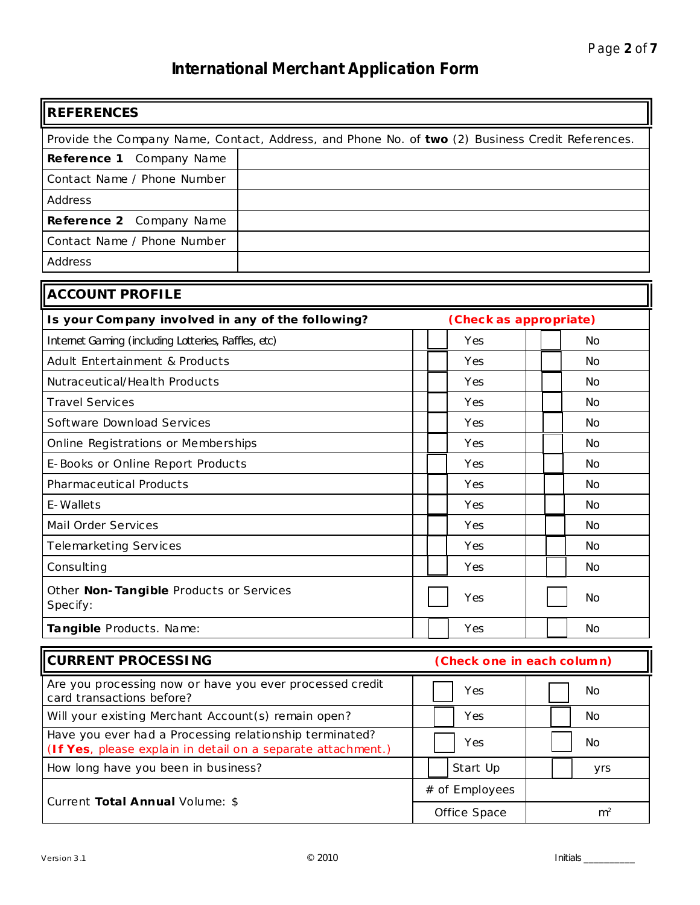| <b>REFERENCES</b>                                                                                                       |  |                                |  |           |  |
|-------------------------------------------------------------------------------------------------------------------------|--|--------------------------------|--|-----------|--|
| Provide the Company Name, Contact, Address, and Phone No. of two (2) Business Credit References.                        |  |                                |  |           |  |
| Company Name<br>Reference 1                                                                                             |  |                                |  |           |  |
| Contact Name / Phone Number                                                                                             |  |                                |  |           |  |
| Address                                                                                                                 |  |                                |  |           |  |
| Reference 2 Company Name                                                                                                |  |                                |  |           |  |
| Contact Name / Phone Number                                                                                             |  |                                |  |           |  |
| Address                                                                                                                 |  |                                |  |           |  |
| <b>ACCOUNT PROFILE</b>                                                                                                  |  |                                |  |           |  |
| Is your Company involved in any of the following?                                                                       |  | (Check as appropriate)         |  |           |  |
| Internet Gaming (including Lotteries, Raffles, etc)                                                                     |  | Yes                            |  | <b>No</b> |  |
| Adult Entertainment & Products                                                                                          |  | Yes                            |  | <b>No</b> |  |
| Nutraceutical/Health Products                                                                                           |  | Yes                            |  | <b>No</b> |  |
| <b>Travel Services</b>                                                                                                  |  | Yes                            |  | <b>No</b> |  |
| Software Download Services                                                                                              |  | Yes                            |  | <b>No</b> |  |
| Online Registrations or Memberships                                                                                     |  | Yes                            |  | <b>No</b> |  |
| E-Books or Online Report Products                                                                                       |  | Yes                            |  | <b>No</b> |  |
| Pharmaceutical Products                                                                                                 |  | Yes                            |  | <b>No</b> |  |
| E-Wallets                                                                                                               |  | Yes                            |  | <b>No</b> |  |
| Mail Order Services                                                                                                     |  | Yes                            |  | <b>No</b> |  |
| Telemarketing Services                                                                                                  |  | Yes                            |  | <b>No</b> |  |
| Consulting                                                                                                              |  | Yes                            |  | <b>No</b> |  |
| Other Non-Tangible Products or Services<br>Specify:                                                                     |  | Yes                            |  | No        |  |
| Tangible Products. Name:                                                                                                |  | Yes                            |  | <b>No</b> |  |
| <b>CURRENT PROCESSING</b>                                                                                               |  | (Check one in each column)     |  |           |  |
| Are you processing now or have you ever processed credit<br>card transactions before?                                   |  | Yes                            |  | <b>No</b> |  |
| Will your existing Merchant Account (s) remain open?                                                                    |  | Yes                            |  | No.       |  |
| Have you ever had a Processing relationship terminated?<br>(If Yes, please explain in detail on a separate attachment.) |  | Yes                            |  | No.       |  |
| How long have you been in business?                                                                                     |  | Start Up                       |  | yrs       |  |
| Current Total Annual Volume: \$                                                                                         |  | # of Employees                 |  |           |  |
|                                                                                                                         |  | Office Space<br>m <sup>2</sup> |  |           |  |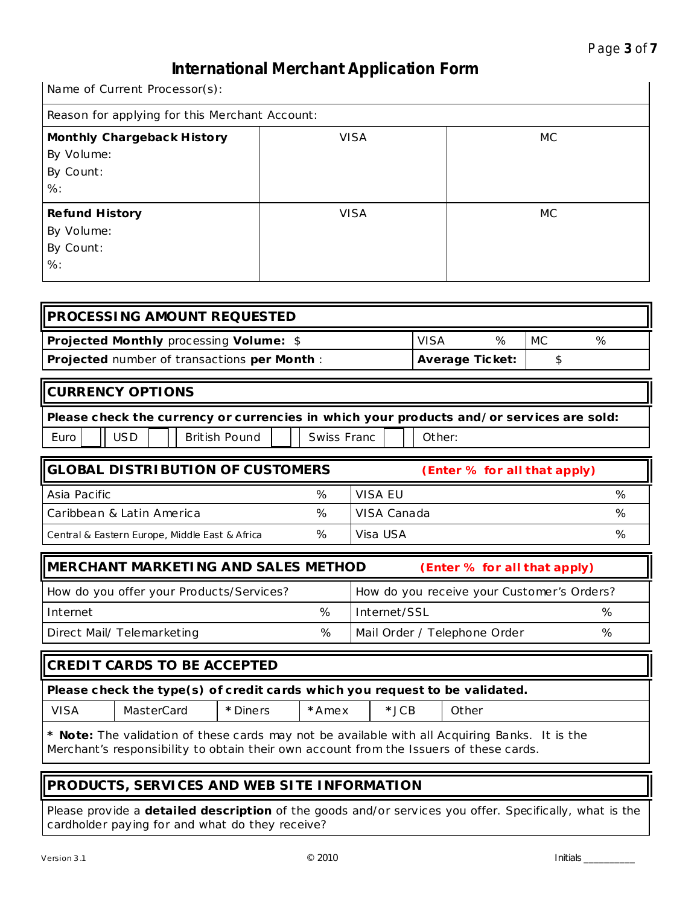Name of Current Processor(s):

| Reason for applying for this Merchant Account:                 |             |     |  |  |  |
|----------------------------------------------------------------|-------------|-----|--|--|--|
| Monthly Chargeback History<br>By Volume:<br>By Count:<br>$%$ : | <b>VISA</b> | MC. |  |  |  |
| <b>Refund History</b><br>By Volume:<br>By Count:<br>$%$ :      | <b>VISA</b> | МC  |  |  |  |

| <b>IPROCESSING AMOUNT REQUESTED</b>                |                        |   |    |   |
|----------------------------------------------------|------------------------|---|----|---|
| <b>Projected Monthly processing Volume: \$</b>     | VISA                   | % | МC | % |
| <b>Projected</b> number of transactions per Month: | <b>Average Ticket:</b> |   |    |   |

|      | <b>ICURRENCY OPTIONS</b>                                                                 |  |  |               |  |             |  |        |
|------|------------------------------------------------------------------------------------------|--|--|---------------|--|-------------|--|--------|
|      | Please check the currency or currencies in which your products and/or services are sold: |  |  |               |  |             |  |        |
| Euro |                                                                                          |  |  | British Pound |  | Swiss Franc |  | Other: |

| <b>IIGLOBAL DISTRIBUTION OF CUSTOMERS</b>      |   | (Enter % for all that apply) |   |  |  |
|------------------------------------------------|---|------------------------------|---|--|--|
| Asia Pacific                                   | % | VISA EU                      | % |  |  |
| l Caribbean & Latin America                    | % | VISA Canada                  | % |  |  |
| Central & Eastern Europe, Middle East & Africa | % | Visa USA                     | % |  |  |

| IMERCHANT MARKETING AND SALES METHOD     |   | (Enter % for all that apply)               |   |
|------------------------------------------|---|--------------------------------------------|---|
| How do you offer your Products/Services? |   | How do you receive your Customer's Orders? |   |
| Internet                                 | ℅ | Internet/SSL                               | ℅ |
| Direct Mail/ Telemarketing               | % | Mail Order / Telephone Order               | % |

| CREDIT CARDS TO BE ACCEPTED                                                 |                                                                                                       |  |  |  |  |  |  |
|-----------------------------------------------------------------------------|-------------------------------------------------------------------------------------------------------|--|--|--|--|--|--|
| Please check the type(s) of credit cards which you request to be validated. |                                                                                                       |  |  |  |  |  |  |
| <b>VISA</b>                                                                 | MasterCard<br>$\star$ JCB<br>* Diners<br>*Amex<br>Other                                               |  |  |  |  |  |  |
|                                                                             | <b>* Note:</b> The validation of these cards may not be available with all Acquiring Banks. It is the |  |  |  |  |  |  |

Merchant's responsibility to obtain their own account from the Issuers of these cards.

### **PRODUCTS, SERVICES AND WEB SITE INFORMATION**

Please provide a **detailed description** of the goods and/or services you offer. Specifically, what is the cardholder paying for and what do they receive?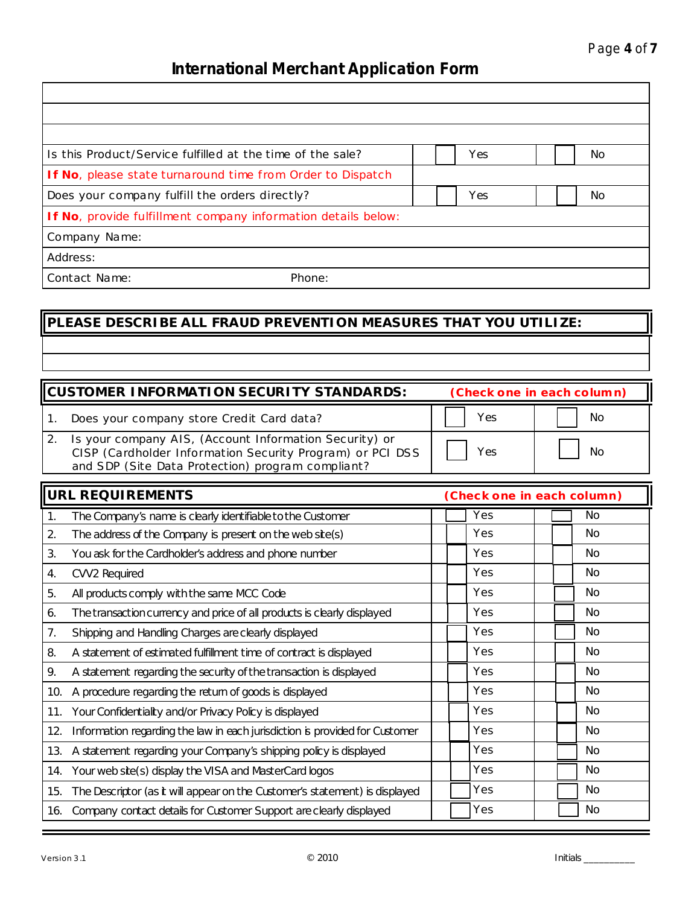| Is this Product/Service fulfilled at the time of the sale? |                                                               | Yes |  | No. |
|------------------------------------------------------------|---------------------------------------------------------------|-----|--|-----|
|                                                            | If No, please state turnaround time from Order to Dispatch    |     |  |     |
| Does your company fulfill the orders directly?             |                                                               | Yes |  | No. |
|                                                            | If No, provide fulfillment company information details below: |     |  |     |
| Company Name:                                              |                                                               |     |  |     |
| Address:                                                   |                                                               |     |  |     |
| Contact Name:                                              | Phone:                                                        |     |  |     |

## **PLEASE DESCRIBE ALL FRAUD PREVENTION MEASURES THAT YOU UTILIZE:**

| <b>CUSTOMER INFORMATION SECURITY STANDARDS:</b>                                                                                                                          | (Check one in each column) |           |  |  |
|--------------------------------------------------------------------------------------------------------------------------------------------------------------------------|----------------------------|-----------|--|--|
| Does your company store Credit Card data?                                                                                                                                | Yes                        | <b>No</b> |  |  |
| Is your company AIS, (Account Information Security) or<br>CISP (Cardholder Information Security Program) or PCI DSS<br>and SDP (Site Data Protection) program compliant? | Yes                        | No        |  |  |

|     | <b>URL REQUIREMENTS</b>                                                     | (Check one in each column) |           |
|-----|-----------------------------------------------------------------------------|----------------------------|-----------|
| 1.  | The Company's name is clearly identifiable to the Customer                  | Yes                        | No.       |
| 2.  | The address of the Company is present on the web site(s)                    | Yes                        | <b>No</b> |
| 3.  | You ask for the Cardholder's address and phone number                       | Yes                        | No.       |
| 4.  | CVV2 Required                                                               | Yes                        | No        |
| 5.  | All products comply with the same MCC Code                                  | Yes                        | No.       |
| 6.  | The transaction currency and price of all products is clearly displayed     | Yes                        | No.       |
| 7.  | Shipping and Handling Charges are clearly displayed                         | Yes                        | <b>No</b> |
| 8.  | A statement of estimated fulfillment time of contract is displayed          | Yes                        | No        |
| 9.  | A statement regarding the security of the transaction is displayed          | Yes                        | No        |
| 10. | A procedure regarding the return of goods is displayed                      | Yes                        | <b>No</b> |
| 11. | Your Confidentiality and/or Privacy Policy is displayed                     | Yes                        | No.       |
| 12. | Information regarding the law in each jurisdiction is provided for Customer | Yes                        | <b>No</b> |
| 13. | A statement regarding your Company's shipping policy is displayed           | Yes                        | No        |
|     | 14. Your web site(s) display the VISA and MasterCard logos                  | Yes                        | No.       |
| 15. | The Descriptor (as it will appear on the Customer's statement) is displayed | Yes                        | No.       |
| 16. | Company contact details for Customer Support are clearly displayed          | Yes                        | <b>No</b> |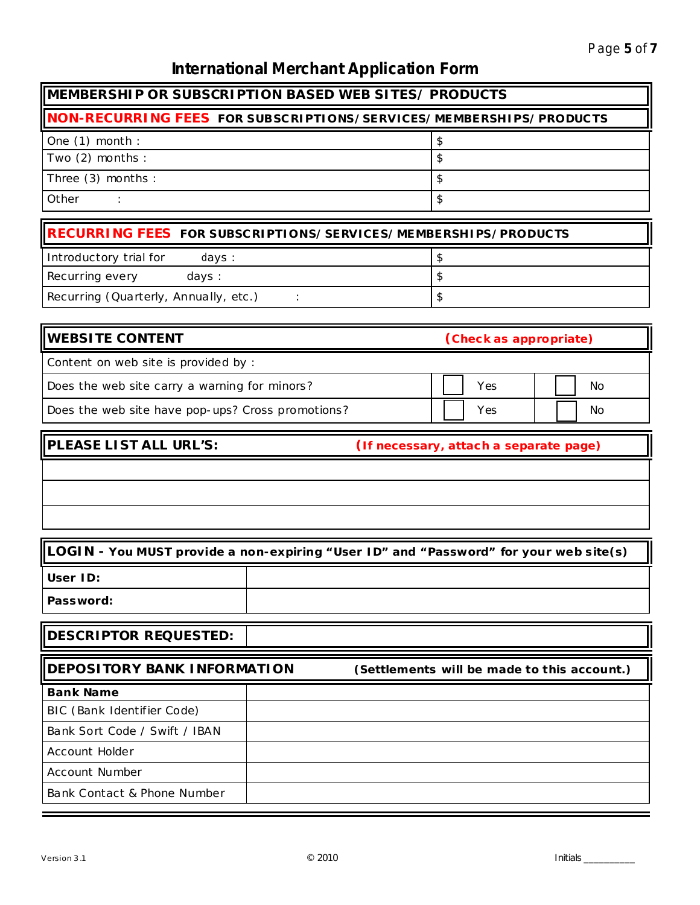### **MEMBERSHIP OR SUBSCRIPTION BASED WEB SITES/ PRODUCTS**

## **NON-RECURRING FEES FOR SUBSCRIPTIONS/SERVICES/MEMBERSHIPS/PRODUCTS** One  $(1)$  month :  $\qquad \qquad$   $\qquad \qquad$ Two (2) months :  $\left| \text{\$} \right|$ Three (3) months :  $\left| \text{S} \right|$ Other  $\qquad$  :

| RECURRING FEES FOR SUBSCRIPTIONS/SERVICES/MEMBERSHIPS/PRODUCTS |  |
|----------------------------------------------------------------|--|
| Introductory trial for<br>days :                               |  |
| Recurring every<br>days:                                       |  |
| Recurring (Quarterly, Annually, etc.)                          |  |

| <b>WEBSITE CONTENT</b>                            | (Check as appropriate) |    |
|---------------------------------------------------|------------------------|----|
| Content on web site is provided by:               |                        |    |
| Does the web site carry a warning for minors?     | Yes                    | No |
| Does the web site have pop-ups? Cross promotions? | Yes                    | No |

**PLEASE LIST ALL URL'S: (If necessary, attach a separate page)**

### **LOGIN - You MUST provide a non-expiring "User ID" and "Password" for your web s ite(s)**

**User ID: Password:**

### **DESCRIPTOR REQUESTED:**

| <b>DEPOSITORY BANK INFORMATION</b> | (Settlements will be made to this account.) |
|------------------------------------|---------------------------------------------|
| <b>Bank Name</b>                   |                                             |
| BIC (Bank Identifier Code)         |                                             |
| Bank Sort Code / Swift / IBAN      |                                             |
| Account Holder                     |                                             |
| Account Number                     |                                             |
| Bank Contact & Phone Number        |                                             |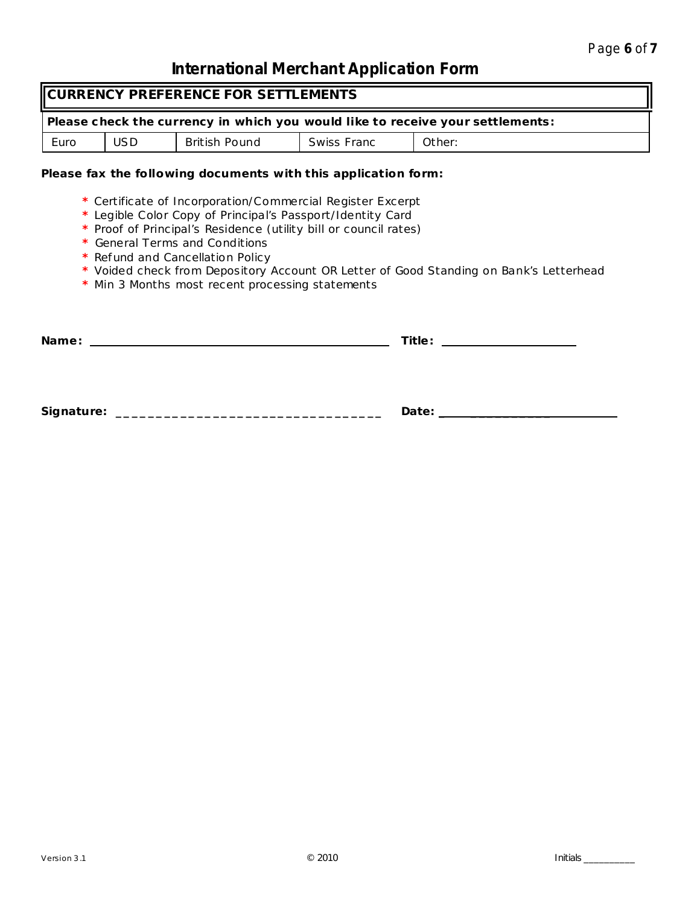| CURRENCY PREFERENCE FOR SETTLEMENTS                                            |     |               |                    |        |
|--------------------------------------------------------------------------------|-----|---------------|--------------------|--------|
| Please check the currency in which you would like to receive your settlements: |     |               |                    |        |
| Euro                                                                           | USD | British Pound | <b>Swiss Franc</b> | Other: |

### **Please fax the following documents with this application form:**

- **\*** Certificate of Incorporation/Commercial Register Excerpt
- **\*** Legible Color Copy of Principal's Passport/Identity Card
- **\*** Proof of Principal's Residence (utility bill or council rates)
- **\*** General Terms and Conditions
- **\*** Refund and Cancellation Policy
- **\*** Voided check from Depository Account OR Letter of Good Standing on Bank's Letterhead
- **\*** Min 3 Months most recent processing statements

| Name: |                               | Title: _____________________ |
|-------|-------------------------------|------------------------------|
|       |                               |                              |
|       |                               |                              |
|       |                               |                              |
|       | Signature: __________________ | Date: _____________          |